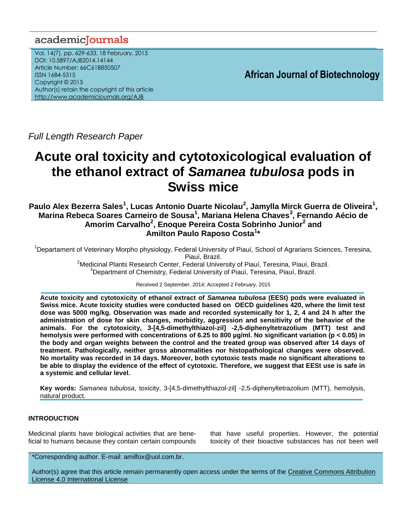## academiclournals

Vol. 14(7), pp. 629-633, 18 February, 2015 DOI: 10.5897/AJB2014.14144 Article Number: 66C61B850507 ISSN 1684-5315 Copyright © 2015 Author(s) retain the copyright of this article <http://www.academicjournals.org/AJB>

**African Journal of Biotechnology**

*Full Length Research Paper*

# **Acute oral toxicity and cytotoxicological evaluation of the ethanol extract of** *Samanea tubulosa* **pods in Swiss mice**

**Paulo Alex Bezerra Sales<sup>1</sup> , Lucas Antonio Duarte Nicolau<sup>2</sup> , Jamylla Mirck Guerra de Oliveira<sup>1</sup> , Marina Rebeca Soares Carneiro de Sousa<sup>1</sup> , Mariana Helena Chaves<sup>3</sup> , Fernando Aécio de Amorim Carvalho<sup>2</sup> , Enoque Pereira Costa Sobrinho Junior<sup>2</sup> and Amilton Paulo Raposo Costa<sup>1</sup> \***

<sup>1</sup>Departament of Veterinary Morpho physiology, Federal University of Piauí, School of Agrarians Sciences, Teresina, Piauí, Brazil. <sup>2</sup>Medicinal Plants Research Center, Federal University of Piauí, Teresina, Piauí, Brazil.

<sup>3</sup>Department of Chemistry, Federal University of Piauí, Teresina, Piauí, Brazil.

Received 2 September, 2014; Accepted 2 February, 2015

**Acute toxicity and cytotoxicity of ethanol extract of** *Samanea tubulosa* **(EESt) pods were evaluated in Swiss mice. Acute toxicity studies were conducted based on OECD guidelines 420, where the limit test dose was 5000 mg/kg. Observation was made and recorded systemically for 1, 2, 4 and 24 h after the administration of dose for skin changes, morbidity, aggression and sensitivity of the behavior of the animals. For the cytotoxicity, 3-[4,5-dimethylthiazol-zil] -2,5-diphenyltetrazolium (MTT) test and hemolysis were performed with concentrations of 6.25 to 800 µg/ml. No significant variation (p < 0.05) in the body and organ weights between the control and the treated group was observed after 14 days of treatment. Pathologically, neither gross abnormalities nor histopathological changes were observed. No mortality was recorded in 14 days. Moreover, both cytotoxic tests made no significant alterations to be able to display the evidence of the effect of cytotoxic. Therefore, we suggest that EESt use is safe in a systemic and cellular level.**

**Key words:** *Samanea tubulosa*, toxicity, 3-[4,5-dimethylthiazol-zil] -2,5-diphenyltetrazolium (MTT), hemolysis, natural product.

### **INTRODUCTION**

Medicinal plants have biological activities that are beneficial to humans because they contain certain compounds

that have useful properties. However, the potential toxicity of their bioactive substances has not been well

\*Corresponding author. E-mail: amilfox@uol.com.br.

Author(s) agree that this article remain permanently open access under the terms of the Creative Commons Attribution [License 4.0 International License](http://creativecommons.org/licenses/by/4.0/deed.en_US)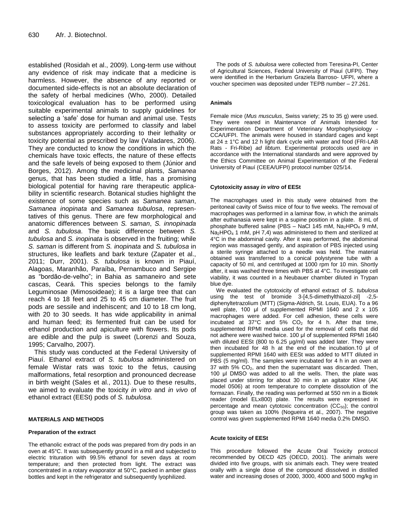established (Rosidah et al., 2009). Long-term use without any evidence of risk may indicate that a medicine is harmless. However, the absence of any reported or documented side-effects is not an absolute declaration of the safety of herbal medicines (Who, 2000). Detailed toxicological evaluation has to be performed using suitable experimental animals to supply guidelines for selecting a 'safe' dose for human and animal use. Tests to assess toxicity are performed to classify and label substances appropriately according to their lethality or toxicity potential as prescribed by law (Valadares, 2006). They are conducted to know the conditions in which the chemicals have toxic effects, the nature of these effects and the safe levels of being exposed to them (Júnior and Borges, 2012). Among the medicinal plants, *Samanea* genus, that has been studied a little, has a promising biological potential for having rare therapeutic applicability in scientific research. Botanical studies highlight the existence of some species such as *Samanea saman*, *Samanea inopinata* and *Samanea tubulosa*, representatives of this genus. There are few morphological and anatomic differences between *S. saman*, *S. innopinada* and *S. tubulosa*. The basic difference between *S. tubulosa* and *S. inopinata* is observed in the fruiting; while *S. saman* is different from *S. inopinata* and *S. tubulosa* in structures, like leaflets and bark texture (Zapater et al., 2011; Durr, 2001). *S. tubulosa* is known in Piauí, Alagoas, Maranhão, Paraíba, Pernambuco and Sergipe as "bordão-de-velho"; in Bahia as samaneiro and sete cascas, Ceará. This species belongs to the family Leguminosae (Mimosoideae); it is a large tree that can reach 4 to 18 feet and 25 to 45 cm diameter. The fruit pods are sessile and indehiscent; and 10 to 18 cm long, with 20 to 30 seeds. It has wide applicability in animal and human feed; its fermented fruit can be used for ethanol production and apiculture with flowers. Its pods are edible and the pulp is sweet (Lorenzi and Souza, 1995; Carvalho, 2007).

This study was conducted at the Federal University of Piauí. Ethanol extract of *S. tubulosa* administered on female Wistar rats was toxic to the fetus, causing malformations, fetal resorption and pronounced decrease in birth weight (Sales et al., 2011). Due to these results, we aimed to evaluate the toxicity *in vitro* and *in vivo* of ethanol extract (EESt) pods of *S. tubulosa.*

#### **MATERIALS AND METHODS**

#### **Preparation of the extract**

The ethanolic extract of the pods was prepared from dry pods in an oven at 45°C. It was subsequently ground in a mill and subjected to electric trituration with 99.5% ethanol for seven days at room temperature; and then protected from light. The extract was concentrated in a rotary evaporator at 50°C, packed in amber glass bottles and kept in the refrigerator and subsequently lyophilized.

The pods of *S. tubulosa* were collected from Teresina-PI, Center of Agricultural Sciences, Federal University of Piauí (UFPI). They were identified in the Herbarium Graziela Barroso- UFPI, where a voucher specimen was deposited under TEPB number – 27.261.

#### **Animals**

Female mice (*Mus musculus*, Swiss variety; 25 to 35 g) were used. They were reared in Maintenance of Animals Intended for Experimentation Department of Veterinary Morphophysiology - CCA/UFPI. The animals were housed in standard cages and kept at  $24 \pm 1^{\circ}$ C and 12 h light dark cycle with water and food (FRI-LAB Rats - Fri-Ribe) *ad libtum*. Experimental protocols used are in accordance with the International standards and were approved by the Ethics Committee on Animal Experimentation of the Federal University of Piauí (CEEA/UFPI) protocol number 025/14.

#### **Cytotoxicity assay** *in vitro* **of EESt**

The macrophages used in this study were obtained from the peritoneal cavity of Swiss mice of four to five weeks. The removal of macrophages was performed in a laminar flow, in which the animals after euthanasia were kept in a supine position in a plate. 8 mL of phosphate buffered saline (PBS - NaCl 145 mM, Na<sub>2</sub>HPO<sub>4</sub> 9 mM, Na<sub>2</sub>HPO<sub>4</sub> 1 mM, pH 7,4) was administered to them and sterilized at 4°C in the abdominal cavity. After it was performed, the abdominal region was massaged gently, and aspiration of PBS injected using a sterile syringe attached to a needle was held. The material obtained was transferred to a conical polystyrene tube with a capacity of 50 ml, and centrifuged at 1000 rpm for 10 min. Shortly after, it was washed three times with PBS at 4°C. To investigate cell viability, it was counted in a Neubauer chamber diluted in Trypan blue dye.

We evaluated the cytotoxicity of ethanol extract of *S. tubulosa* using the test of bromide 3-[4,5-dimethylthiazol-zil] -2,5 diphenyltetrazolium (MTT) (Sigma-Aldrich, St. Louis, EUA). To a 96 well plate, 100 μl of supplemented RPMI 1640 and 2 x 105 macrophages were added. For cell adhesion, these cells were incubated at 37 $^{\circ}$ C and 5% CO<sub>2</sub> for 4 h. After that time, supplemented RPMI media used for the removal of cells that did not adhere were washed twice. 100 μl of supplemented RPMI 1640 with diluted EESt (800 to 6.25 µg/ml) was added later. They were then incubated for 48 h at the end of the incubation.10 μl of supplemented RPMI 1640 with EESt was added to MTT diluted in PBS (5 mg/ml). The samples were incubated for 4 h in an oven at 37 with  $5\%$   $CO<sub>2</sub>$ , and then the supernatant was discarded. Then, 100 μl DMSO was added to all the wells. Then, the plate was placed under stirring for about 30 min in an agitator Kline (AK model 0506) at room temperature to complete dissolution of the formazan. Finally, the reading was performed at 550 nm in a Biotek reader (model ELx800) plate. The results were expressed in percentage and mean cytotoxic concentration  $(CC<sub>50</sub>)$ ; the control group was taken as 100% (Nogueira et al., 2007). The negative control was given supplemented RPMI 1640 media 0.2% DMSO.

#### **Acute toxicity of EESt**

This procedure followed the Acute Oral Toxicity protocol recommended by OECD 425 (OECD, 2001). The animals were divided into five groups, with six animals each. They were treated orally with a single dose of the compound dissolved in distilled water and increasing doses of 2000, 3000, 4000 and 5000 mg/kg in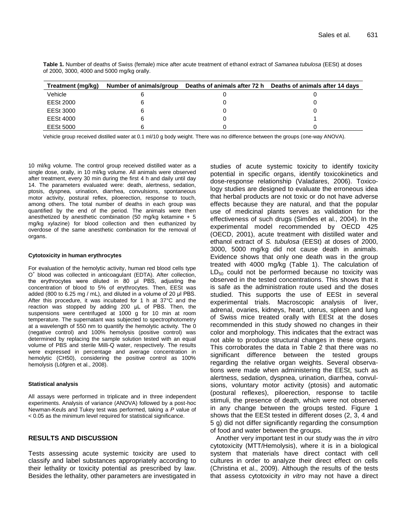| Treatment (mg/kg) | Number of animals/group | Deaths of animals after 72 h Deaths of animals after 14 days |  |  |
|-------------------|-------------------------|--------------------------------------------------------------|--|--|
| Vehicle           |                         |                                                              |  |  |
| EESt 2000         |                         |                                                              |  |  |
| EESt 3000         |                         |                                                              |  |  |
| EESt 4000         |                         |                                                              |  |  |
| EESt 5000         |                         |                                                              |  |  |

**Table 1.** Number of deaths of Swiss (female) mice after acute treatment of ethanol extract of *Samanea tubulosa* (EESt) at doses of 2000, 3000, 4000 and 5000 mg/kg orally.

Vehicle group received distilled water at 0.1 ml/10 g body weight. There was no difference between the groups (one-way ANOVA).

10 ml/kg volume. The control group received distilled water as a single dose, orally, in 10 ml/kg volume. All animals were observed after treatment, every 30 min during the first 4 h and daily until day 14. The parameters evaluated were: death, alertness, sedation, ptosis, dyspnea, urination, diarrhea, convulsions, spontaneous motor activity, postural reflex, piloerection, response to touch, among others. The total number of deaths in each group was quantified by the end of the period. The animals were then anesthetized by anesthetic combination (50 mg/kg ketamine  $+5$ mg/kg xylazine) for blood collection and then euthanized by overdose of the same anesthetic combination for the removal of organs.

#### **Cytotoxicity in human erythrocytes**

For evaluation of the hemolytic activity, human red blood cells type O<sup>+</sup> blood was collected in anticoagulant (EDTA). After collection, the erythrocytes were diluted in 80 μl PBS, adjusting the concentration of blood to 5% of erythrocytes. Then, EESt was added (800 to 6.25 mg / mL), and diluted in a volume of 20 μl PBS. After this procedure, it was incubated for 1 h at 37°C and the reaction was stopped by adding 200 μL of PBS. Then, the suspensions were centrifuged at 1000 g for 10 min at room temperature. The supernatant was subjected to spectrophotometry at a wavelength of 550 nm to quantify the hemolytic activity. The 0 (negative control) and 100% hemolysis (positive control) was determined by replacing the sample solution tested with an equal volume of PBS and sterile Milli-Q water, respectively. The results were expressed in percentage and average concentration in hemolytic (CH50), considering the positive control as 100% hemolysis (Löfgren et al., 2008).

#### **Statistical analysis**

All assays were performed in triplicate and in three independent experiments. Analysis of variance (ANOVA) followed by a post-hoc Newman-Keuls and Tukey test was performed, taking a *P* value of < 0.05 as the minimum level required for statistical significance.

#### **RESULTS AND DISCUSSION**

Tests assessing acute systemic toxicity are used to classify and label substances appropriately according to their lethality or toxicity potential as prescribed by law. Besides the lethality, other parameters are investigated in

studies of acute systemic toxicity to identify toxicity potential in specific organs, identify toxicokinetics and dose-response relationship (Valadares, 2006). Toxicology studies are designed to evaluate the erroneous idea that herbal products are not toxic or do not have adverse effects because they are natural, and that the popular use of medicinal plants serves as validation for the effectiveness of such drugs (Simões et al., 2004). In the experimental model recommended by OECD 425 (OECD, 2001), acute treatment with distilled water and ethanol extract of *S. tubulosa* (EESt) at doses of 2000, 3000, 5000 mg/kg did not cause death in animals. Evidence shows that only one death was in the group treated with 4000 mg/kg (Table 1). The calculation of  $LD_{50}$  could not be performed because no toxicity was observed in the tested concentrations. This shows that it is safe as the administration route used and the doses studied. This supports the use of EESt in several experimental trials. Macroscopic analysis of liver, adrenal, ovaries, kidneys, heart, uterus, spleen and lung of Swiss mice treated orally with EESt at the doses recommended in this study showed no changes in their color and morphology. This indicates that the extract was not able to produce structural changes in these organs. This corroborates the data in Table 2 that there was no significant difference between the tested groups regarding the relative organ weights. Several observations were made when administering the EESt, such as alertness, sedation, dyspnea, urination, diarrhea, convulsions, voluntary motor activity (ptosis) and automatic (postural reflexes), piloerection, response to tactile stimuli, the presence of death, which were not observed in any change between the groups tested. Figure 1 shows that the EESt tested in different doses (2, 3, 4 and 5 g) did not differ significantly regarding the consumption of food and water between the groups.

Another very important test in our study was the *in vitro* cytotoxicity (MTT/Hemolysis), where it is in a biological system that materials have direct contact with cell cultures in order to analyze their direct effect on cells (Christina et al., 2009). Although the results of the tests that assess cytotoxicity *in vitro* may not have a direct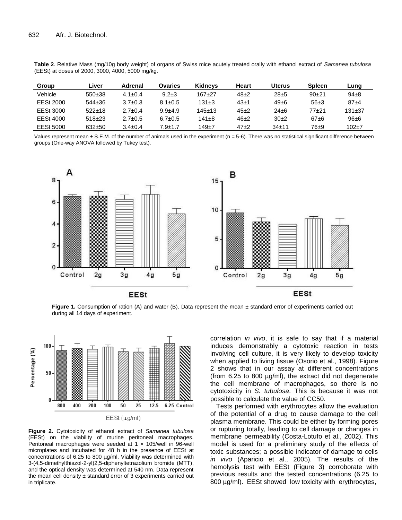| Group     | Liver        | Adrenal       | Ovaries       | <b>Kidneys</b> | Heart  | Uterus     | <b>Spleen</b> | Lung         |
|-----------|--------------|---------------|---------------|----------------|--------|------------|---------------|--------------|
| Vehicle   | $550+38$     | $4.1 \pm 0.4$ | $9.2 \pm 3$   | $167+27$       | $48+2$ | $28 + 5$   | $90+21$       | $94+8$       |
| EESt 2000 | $544 \pm 36$ | $3.7 \pm 0.3$ | $8.1 \pm 0.5$ | $131\pm3$      | 43±1   | $49 \pm 6$ | $56+3$        | $87 + 4$     |
| EESt 3000 | $522 \pm 18$ | $2.7 \pm 0.4$ | $9.9 + 4.9$   | $145+13$       | $45+2$ | $24 + 6$   | 77+21         | $131 \pm 37$ |
| EESt 4000 | $518+23$     | $2.7 \pm 0.5$ | $6.7 \pm 0.5$ | $141 \pm 8$    | $46+2$ | $30+2$     | $67 + 6$      | $96 + 6$     |
| EESt 5000 | $632+50$     | $3.4 \pm 0.4$ | $7.9 + 1.7$   | $149+7$        | $47+2$ | $34+11$    | 76±9          | $102+7$      |

**Table 2**. Relative Mass (mg/10g body weight) of organs of Swiss mice acutely treated orally with ethanol extract of *Samanea tubulosa* (EESt) at doses of 2000, 3000, 4000, 5000 mg/kg.

Values represent mean  $\pm$  S.E.M. of the number of animals used in the experiment ( $n = 5-6$ ). There was no statistical significant difference between groups (One-way ANOVA followed by Tukey test).



Figure 1. Consumption of ration (A) and water (B). Data represent the mean ± standard error of experiments carried out during all 14 days of experiment.



**Figure 2.** Cytotoxicity of ethanol extract of *Samanea tubulosa* (EESt) on the viability of murine peritoneal macrophages. Peritoneal macrophages were seeded at 1 x 105/well in 96-well microplates and incubated for 48 h in the presence of EESt at concentrations of 6.25 to 800 µg/ml. Viability was determined with 3-(4,5-dimethylthiazol-2-yl)2,5-diphenyltetrazolium bromide (MTT), and the optical density was determined at 540 nm. Data represent the mean cell density  $\pm$  standard error of 3 experiments carried out in triplicate.

correlation *in vivo*, it is safe to say that if a material induces demonstrably a cytotoxic reaction in tests involving cell culture, it is very likely to develop toxicity when applied to living tissue (Osorio et al., 1998). Figure 2 shows that in our assay at different concentrations (from 6.25 to 800 µg/ml), the extract did not degenerate the cell membrane of macrophages, so there is no cytotoxicity in *S. tubulosa*. This is because it was not possible to calculate the value of CC50.

Tests performed with erythrocytes allow the evaluation of the potential of a drug to cause damage to the cell plasma membrane. This could be either by forming pores or rupturing totally, leading to cell damage or changes in membrane permeability (Costa-Lotufo et al., 2002). This model is used for a preliminary study of the effects of toxic substances; a possible indicator of damage to cells *in vivo* (Aparicio et al., 2005). The results of the hemolysis test with EESt (Figure 3) corroborate with previous results and the tested concentrations (6.25 to 800  $\mu$ g/ml). EESt showed low toxicity with erythrocytes,